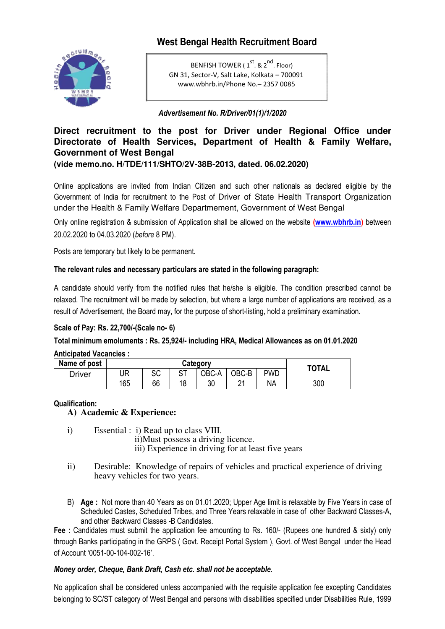# **West Bengal Health Recruitment Board**



BENFISH TOWER ( $1^{st}$ , &  $2^{nd}$ , Floor) GN 31, Sector‐V, Salt Lake, Kolkata – 700091 www.wbhrb.in/Phone No.– 2357 0085

## *Advertisement No. R/Driver/01(1)/1/2020*

## Direct recruitment to the post for Driver under Regional Office under **Directorate of Health Services, Department of Health & Family Welfare, Government of West Bengal (vide memo.no. H/TDE/111/SHTO/2V H/TDE/111/SHTO/2V-38B-2013, dated. 06.02.2020)**

Online applications are invited from Indian Citizen and such other nationals as declared eligible by the Government of India for recruitment to the Post of Driver of State Health Transport Organization under the Health & Family Welfare Departmement, Government of West Bengal

Only online registration & submission of Application shall be allowed on the website **(www.wbhrb.in www.wbhrb.in)** between 20.02.2020 to 04.03.2020 (*before* 8 PM).

Posts are temporary but likely to be permanent.

## The relevant rules and necessary particulars are stated in the following paragraph:

A candidate should verify from the notified rules that he/she is eligible. The condition prescribed cannot be relaxed. The recruitment will be made by selection, but where a large number of applications are received, as a result of Advertisement, the Board may, for the purpose of short-listing, hold a preliminary examination.

## **Scale of Pay: Rs. 22,700/-(Scale no (Scale no- 6)**

**Total minimum emoluments : Rs. 25,924/ 25,924/- including HRA, Medical Allowances as on 01.01.2020**

|  | <b>Anticipated Vacancies:</b> |  |
|--|-------------------------------|--|
|  |                               |  |

| Name of post | Category |          |               |       |             | <b>TOTAL</b> |     |
|--------------|----------|----------|---------------|-------|-------------|--------------|-----|
| Driver       | UR       | rr<br>৩৬ | $\sim$<br>، ب | OBC-A | OBC-B       | <b>PWD</b>   |     |
|              | 165      | 66       | 1 Q           | 30    | $\sim$<br>▃ | <b>NA</b>    | 300 |

#### **Qualification:**

#### **A) Academic & Experience Experience:**

i) Essential : i) Read up to class VIII.

ii)Must possess a driving licence.

- iii) Experience in driving for at least five years
- ii) Desirable: Knowledge of repairs of vehicles and practical experience of driving heavy vehicles for two years.
- B) Age: Not more than 40 Years as on 01.01.2020; Upper Age limit is relaxable by Five Years in case of Scheduled Castes, Scheduled Tribes, and Three Years relaxable in case of other Backward Classes-A, and other Backward Classes -B Candidates.

**Fee :** Candidates must submit the application fee amounting to Rs. 160/- (Rupees one hundred & sixty) only through Banks participating in the GRPS ( Govt. Receipt Portal System ), Govt. of West Bengal under the Head of Account '0051-00-104-002-16'.

#### *Money order, Cheque, Bank Draft, Cash etc. shall not be acceptable.*

No application shall be considered unless accompanied with the requisite application fee excepting Candidates belonging to SC/ST category of West Bengal and persons with disabilities specified under Disabilities Rule, 1999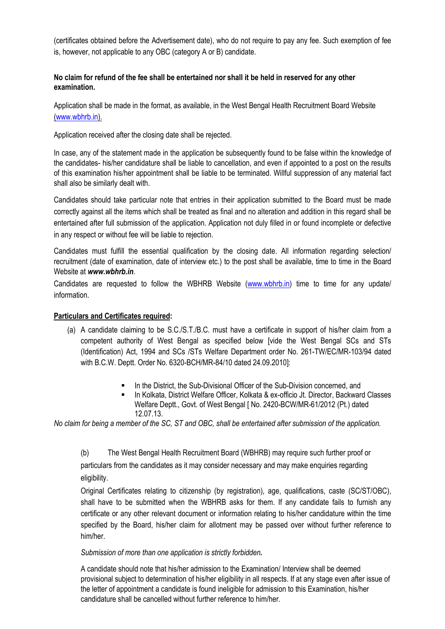(certificates obtained before the Advertisement date), who do not require to pay any fee. Such exemption of fee is, however, not applicable to any OBC (category A or B) candidate.

## **No claim for refund of the fee shall be entertained nor shall it be held in reserved for any other examination.**

Application shall be made in the format, as available, in the West Bengal Health Recruitment Board Website (www.wbhrb.in).

Application received after the closing date shall be rejected.

In case, any of the statement made in the application be subsequently found to be false within the knowledge of the candidates- his/her candidature shall be liable to cancellation, and even if appointed to a post on the results of this examination his/her appointment shall be liable to be terminated. Willful suppression of any material fact shall also be similarly dealt with.

Candidates should take particular note that entries in their application submitted to the Board must be made correctly against all the items which shall be treated as final and no alteration and addition in this regard shall be entertained after full submission of the application. Application not duly filled in or found incomplete or defective in any respect or without fee will be liable to rejection.

Candidates must fulfill the essential qualification by the closing date. All information regarding selection/ recruitment (date of examination, date of interview etc.) to the post shall be available, time to time in the Board Website at *www.wbhrb.in*.

Candidates are requested to follow the WBHRB Website (www.wbhrb.in) time to time for any update/ information.

## **Particulars and Certificates required:**

- (a) A candidate claiming to be S.C./S.T./B.C. must have a certificate in support of his/her claim from a competent authority of West Bengal as specified below [vide the West Bengal SCs and STs (Identification) Act, 1994 and SCs /STs Welfare Department order No. 261-TW/EC/MR-103/94 dated with B.C.W. Deptt. Order No. 6320-BCH/MR-84/10 dated 24.09.2010]:
	- In the District, the Sub-Divisional Officer of the Sub-Division concerned, and
	- **In Kolkata, District Welfare Officer, Kolkata & ex-officio Jt. Director, Backward Classes** Welfare Deptt., Govt. of West Bengal [ No. 2420-BCW/MR-61/2012 (Pt.) dated 12.07.13.

*No claim for being a member of the SC, ST and OBC, shall be entertained after submission of the application.* 

(b) The West Bengal Health Recruitment Board (WBHRB) may require such further proof or particulars from the candidates as it may consider necessary and may make enquiries regarding eligibility.

Original Certificates relating to citizenship (by registration), age, qualifications, caste (SC/ST/OBC), shall have to be submitted when the WBHRB asks for them. If any candidate fails to furnish any certificate or any other relevant document or information relating to his/her candidature within the time specified by the Board, his/her claim for allotment may be passed over without further reference to him/her.

#### *Submission of more than one application is strictly forbidden.*

A candidate should note that his/her admission to the Examination/ Interview shall be deemed provisional subject to determination of his/her eligibility in all respects. If at any stage even after issue of the letter of appointment a candidate is found ineligible for admission to this Examination, his/her candidature shall be cancelled without further reference to him/her.